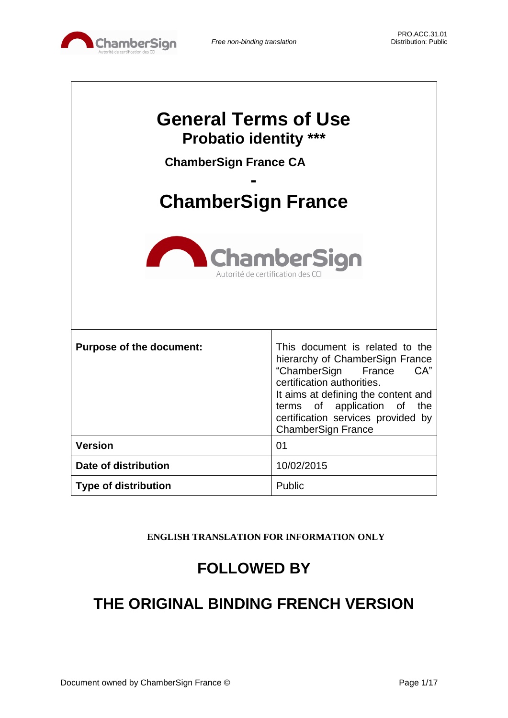

| <b>General Terms of Use</b><br><b>Probatio identity ***</b><br><b>ChamberSign France CA</b><br><b>ChamberSign France</b><br><b>ChamberSign</b><br>Autorité de certification des C |                                                                                                                                                                                                                                                                            |  |  |
|-----------------------------------------------------------------------------------------------------------------------------------------------------------------------------------|----------------------------------------------------------------------------------------------------------------------------------------------------------------------------------------------------------------------------------------------------------------------------|--|--|
| <b>Purpose of the document:</b>                                                                                                                                                   | This document is related to the<br>hierarchy of ChamberSign France<br>"ChamberSign<br>France<br>CA"<br>certification authorities.<br>It aims at defining the content and<br>terms of application of the<br>certification services provided by<br><b>ChamberSign France</b> |  |  |
| <b>Version</b>                                                                                                                                                                    | 01                                                                                                                                                                                                                                                                         |  |  |
| Date of distribution                                                                                                                                                              | 10/02/2015                                                                                                                                                                                                                                                                 |  |  |
| <b>Type of distribution</b>                                                                                                                                                       | Public                                                                                                                                                                                                                                                                     |  |  |

**ENGLISH TRANSLATION FOR INFORMATION ONLY**

# **FOLLOWED BY**

# **THE ORIGINAL BINDING FRENCH VERSION**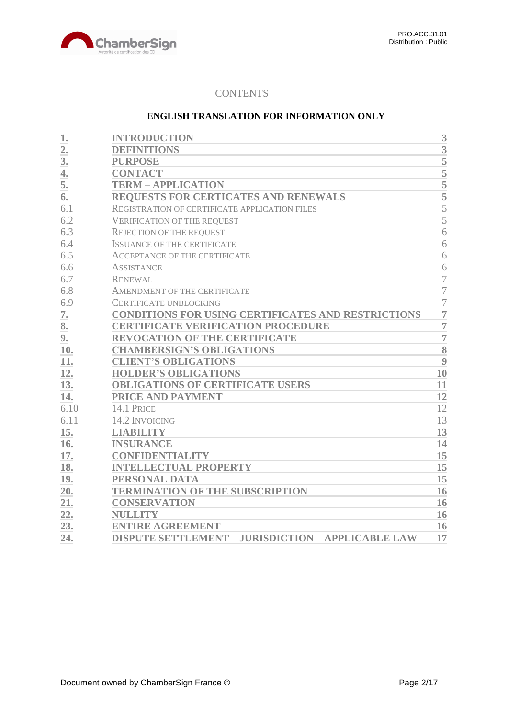

# **CONTENTS**

## **ENGLISH TRANSLATION FOR INFORMATION ONLY**

| 1.               | <b>INTRODUCTION</b>                                       | 3              |
|------------------|-----------------------------------------------------------|----------------|
| $\overline{2}$ . | <b>DEFINITIONS</b>                                        | 3              |
| 3 <sub>l</sub>   | <b>PURPOSE</b>                                            | 5              |
| $\overline{4}$ . | <b>CONTACT</b>                                            | $\overline{5}$ |
| 5.               | <b>TERM - APPLICATION</b>                                 |                |
| 6.               | REQUESTS FOR CERTICATES AND RENEWALS                      | $\frac{5}{5}$  |
| 6.1              | REGISTRATION OF CERTIFICATE APPLICATION FILES             | $\overline{5}$ |
| 6.2              | <b>VERIFICATION OF THE REQUEST</b>                        | 5              |
| 6.3              | <b>REJECTION OF THE REQUEST</b>                           | 6              |
| 6.4              | <b>ISSUANCE OF THE CERTIFICATE</b>                        | 6              |
| 6.5              | <b>ACCEPTANCE OF THE CERTIFICATE</b>                      | 6              |
| 6.6              | <b>ASSISTANCE</b>                                         | 6              |
| 6.7              | <b>RENEWAL</b>                                            | 7              |
| 6.8              | AMENDMENT OF THE CERTIFICATE                              | $\overline{7}$ |
| 6.9              | <b>CERTIFICATE UNBLOCKING</b>                             | $\overline{7}$ |
| 7.               | CONDITIONS FOR USING CERTIFICATES AND RESTRICTIONS        | $\overline{7}$ |
| 8.               | <b>CERTIFICATE VERIFICATION PROCEDURE</b>                 | $\overline{7}$ |
| 9.               | <b>REVOCATION OF THE CERTIFICATE</b>                      | $\overline{7}$ |
| 10.              | <b>CHAMBERSIGN'S OBLIGATIONS</b>                          | 8              |
| 11.              | <b>CLIENT'S OBLIGATIONS</b>                               | 9              |
| 12.              | <b>HOLDER'S OBLIGATIONS</b>                               | 10             |
| 13.              | <b>OBLIGATIONS OF CERTIFICATE USERS</b>                   | 11             |
| 14.              | PRICE AND PAYMENT                                         | 12             |
| 6.10             | 14.1 PRICE                                                | 12             |
| 6.11             | 14.2 INVOICING                                            | 13             |
| 15.              | <b>LIABILITY</b>                                          | 13             |
| 16.              | <b>INSURANCE</b>                                          | 14             |
| 17.              | <b>CONFIDENTIALITY</b>                                    | 15             |
| 18.              | <b>INTELLECTUAL PROPERTY</b>                              | 15             |
| 19.              | PERSONAL DATA                                             | 15             |
| 20.              | <b>TERMINATION OF THE SUBSCRIPTION</b>                    | 16             |
| 21.              | <b>CONSERVATION</b>                                       | 16             |
| 22.              | <b>NULLITY</b>                                            | 16             |
| 23.              | <b>ENTIRE AGREEMENT</b>                                   | 16             |
| 24.              | <b>DISPUTE SETTLEMENT - JURISDICTION - APPLICABLE LAW</b> | 17             |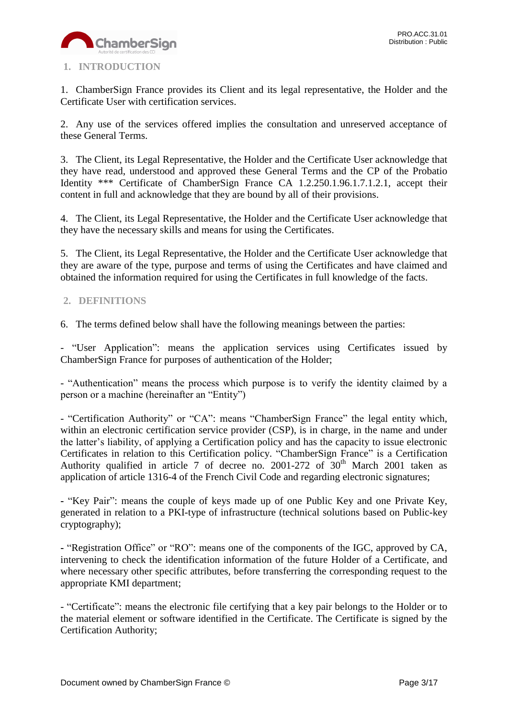

# <span id="page-2-0"></span>**1. INTRODUCTION**

1. ChamberSign France provides its Client and its legal representative, the Holder and the Certificate User with certification services.

2. Any use of the services offered implies the consultation and unreserved acceptance of these General Terms.

3. The Client, its Legal Representative, the Holder and the Certificate User acknowledge that they have read, understood and approved these General Terms and the CP of the Probatio Identity \*\*\* Certificate of ChamberSign France CA 1.2.250.1.96.1.7.1.2.1, accept their content in full and acknowledge that they are bound by all of their provisions.

4. The Client, its Legal Representative, the Holder and the Certificate User acknowledge that they have the necessary skills and means for using the Certificates.

5. The Client, its Legal Representative, the Holder and the Certificate User acknowledge that they are aware of the type, purpose and terms of using the Certificates and have claimed and obtained the information required for using the Certificates in full knowledge of the facts.

# <span id="page-2-1"></span>**2. DEFINITIONS**

6. The terms defined below shall have the following meanings between the parties:

- "User Application": means the application services using Certificates issued by ChamberSign France for purposes of authentication of the Holder;

- "Authentication" means the process which purpose is to verify the identity claimed by a person or a machine (hereinafter an "Entity")

- "Certification Authority" or "CA": means "ChamberSign France" the legal entity which, within an electronic certification service provider (CSP), is in charge, in the name and under the latter's liability, of applying a Certification policy and has the capacity to issue electronic Certificates in relation to this Certification policy. "ChamberSign France" is a Certification Authority qualified in article 7 of decree no. 2001-272 of  $30<sup>th</sup>$  March 2001 taken as application of article 1316-4 of the French Civil Code and regarding electronic signatures;

**-** "Key Pair": means the couple of keys made up of one Public Key and one Private Key, generated in relation to a PKI-type of infrastructure (technical solutions based on Public-key cryptography);

**-** "Registration Office" or "RO": means one of the components of the IGC, approved by CA, intervening to check the identification information of the future Holder of a Certificate, and where necessary other specific attributes, before transferring the corresponding request to the appropriate KMI department;

- "Certificate": means the electronic file certifying that a key pair belongs to the Holder or to the material element or software identified in the Certificate. The Certificate is signed by the Certification Authority;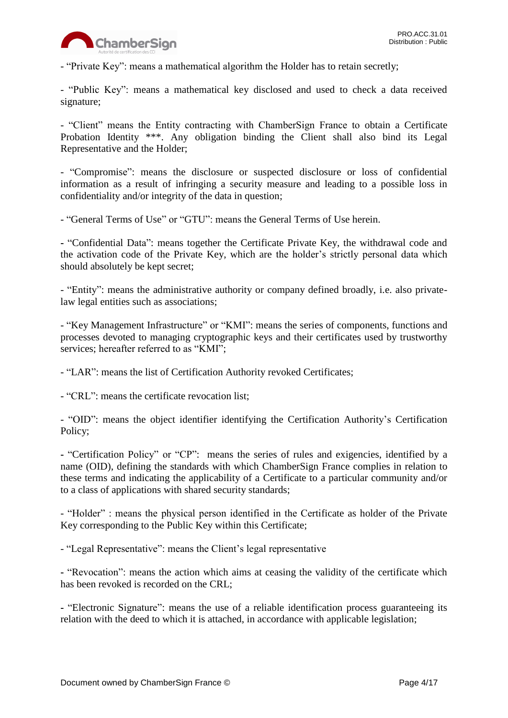

- "Private Key": means a mathematical algorithm the Holder has to retain secretly;

- "Public Key": means a mathematical key disclosed and used to check a data received signature;

- "Client" means the Entity contracting with ChamberSign France to obtain a Certificate Probation Identity \*\*\*. Any obligation binding the Client shall also bind its Legal Representative and the Holder;

- "Compromise": means the disclosure or suspected disclosure or loss of confidential information as a result of infringing a security measure and leading to a possible loss in confidentiality and/or integrity of the data in question;

- "General Terms of Use" or "GTU": means the General Terms of Use herein.

**-** "Confidential Data": means together the Certificate Private Key, the withdrawal code and the activation code of the Private Key, which are the holder's strictly personal data which should absolutely be kept secret;

- "Entity": means the administrative authority or company defined broadly, i.e. also privatelaw legal entities such as associations;

- "Key Management Infrastructure" or "KMI": means the series of components, functions and processes devoted to managing cryptographic keys and their certificates used by trustworthy services; hereafter referred to as "KMI";

- "LAR": means the list of Certification Authority revoked Certificates;

- "CRL": means the certificate revocation list;

- "OID": means the object identifier identifying the Certification Authority's Certification Policy;

**-** "Certification Policy" or "CP": means the series of rules and exigencies, identified by a name (OID), defining the standards with which ChamberSign France complies in relation to these terms and indicating the applicability of a Certificate to a particular community and/or to a class of applications with shared security standards;

- "Holder" : means the physical person identified in the Certificate as holder of the Private Key corresponding to the Public Key within this Certificate;

- "Legal Representative": means the Client's legal representative

**-** "Revocation": means the action which aims at ceasing the validity of the certificate which has been revoked is recorded on the CRL;

**-** "Electronic Signature": means the use of a reliable identification process guaranteeing its relation with the deed to which it is attached, in accordance with applicable legislation;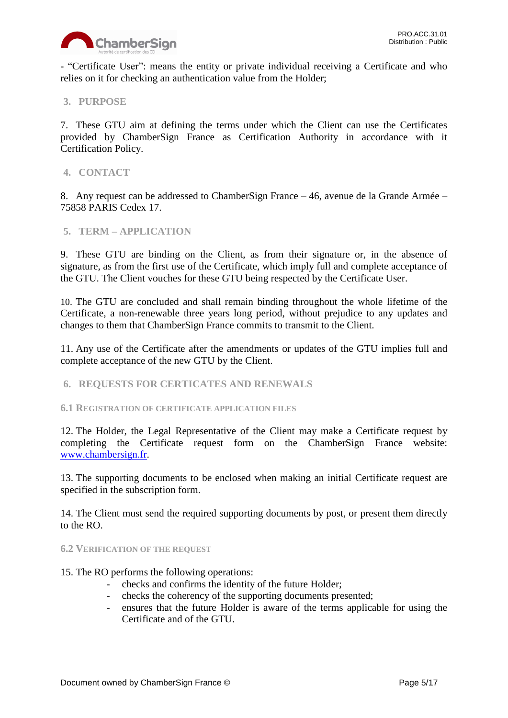

- "Certificate User": means the entity or private individual receiving a Certificate and who relies on it for checking an authentication value from the Holder;

# <span id="page-4-0"></span>**3. PURPOSE**

7. These GTU aim at defining the terms under which the Client can use the Certificates provided by ChamberSign France as Certification Authority in accordance with it Certification Policy.

## <span id="page-4-1"></span>**4. CONTACT**

8. Any request can be addressed to ChamberSign France – 46, avenue de la Grande Armée – 75858 PARIS Cedex 17.

#### <span id="page-4-2"></span>**5. TERM – APPLICATION**

9. These GTU are binding on the Client, as from their signature or, in the absence of signature, as from the first use of the Certificate, which imply full and complete acceptance of the GTU. The Client vouches for these GTU being respected by the Certificate User.

10. The GTU are concluded and shall remain binding throughout the whole lifetime of the Certificate, a non-renewable three years long period, without prejudice to any updates and changes to them that ChamberSign France commits to transmit to the Client.

11. Any use of the Certificate after the amendments or updates of the GTU implies full and complete acceptance of the new GTU by the Client.

#### <span id="page-4-3"></span>**6. REQUESTS FOR CERTICATES AND RENEWALS**

<span id="page-4-4"></span>**6.1 REGISTRATION OF CERTIFICATE APPLICATION FILES**

12. The Holder, the Legal Representative of the Client may make a Certificate request by completing the Certificate request form on the ChamberSign France website: [www.chambersign.fr.](http://www.chambersign.fr/)

13. The supporting documents to be enclosed when making an initial Certificate request are specified in the subscription form.

14. The Client must send the required supporting documents by post, or present them directly to the RO.

#### <span id="page-4-5"></span>**6.2 VERIFICATION OF THE REQUEST**

- 15. The RO performs the following operations:
	- checks and confirms the identity of the future Holder;
	- checks the coherency of the supporting documents presented;
	- ensures that the future Holder is aware of the terms applicable for using the Certificate and of the GTU.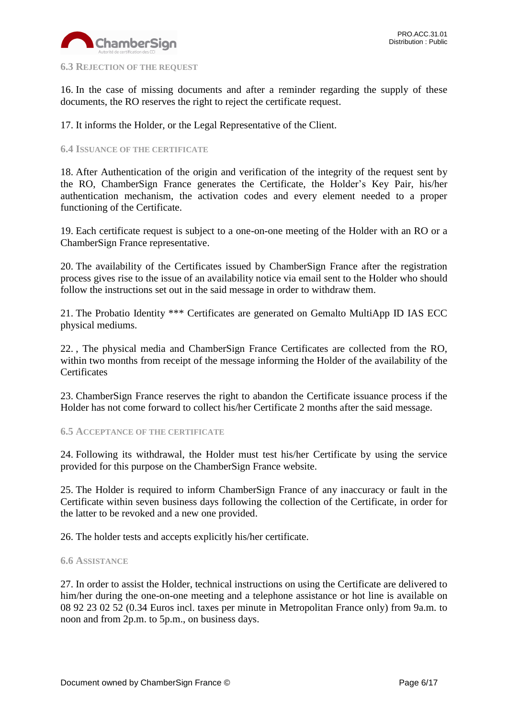

#### <span id="page-5-0"></span>**6.3 REJECTION OF THE REQUEST**

16. In the case of missing documents and after a reminder regarding the supply of these documents, the RO reserves the right to reject the certificate request.

17. It informs the Holder, or the Legal Representative of the Client.

#### <span id="page-5-1"></span>**6.4 ISSUANCE OF THE CERTIFICATE**

18. After Authentication of the origin and verification of the integrity of the request sent by the RO, ChamberSign France generates the Certificate, the Holder's Key Pair, his/her authentication mechanism, the activation codes and every element needed to a proper functioning of the Certificate.

19. Each certificate request is subject to a one-on-one meeting of the Holder with an RO or a ChamberSign France representative.

20. The availability of the Certificates issued by ChamberSign France after the registration process gives rise to the issue of an availability notice via email sent to the Holder who should follow the instructions set out in the said message in order to withdraw them.

21. The Probatio Identity \*\*\* Certificates are generated on Gemalto MultiApp ID IAS ECC physical mediums.

22. , The physical media and ChamberSign France Certificates are collected from the RO, within two months from receipt of the message informing the Holder of the availability of the **Certificates** 

23. ChamberSign France reserves the right to abandon the Certificate issuance process if the Holder has not come forward to collect his/her Certificate 2 months after the said message.

<span id="page-5-2"></span>**6.5 ACCEPTANCE OF THE CERTIFICATE**

24. Following its withdrawal, the Holder must test his/her Certificate by using the service provided for this purpose on the ChamberSign France website.

25. The Holder is required to inform ChamberSign France of any inaccuracy or fault in the Certificate within seven business days following the collection of the Certificate, in order for the latter to be revoked and a new one provided.

26. The holder tests and accepts explicitly his/her certificate.

#### <span id="page-5-3"></span>**6.6 ASSISTANCE**

27. In order to assist the Holder, technical instructions on using the Certificate are delivered to him/her during the one-on-one meeting and a telephone assistance or hot line is available on 08 92 23 02 52 (0.34 Euros incl. taxes per minute in Metropolitan France only) from 9a.m. to noon and from 2p.m. to 5p.m., on business days.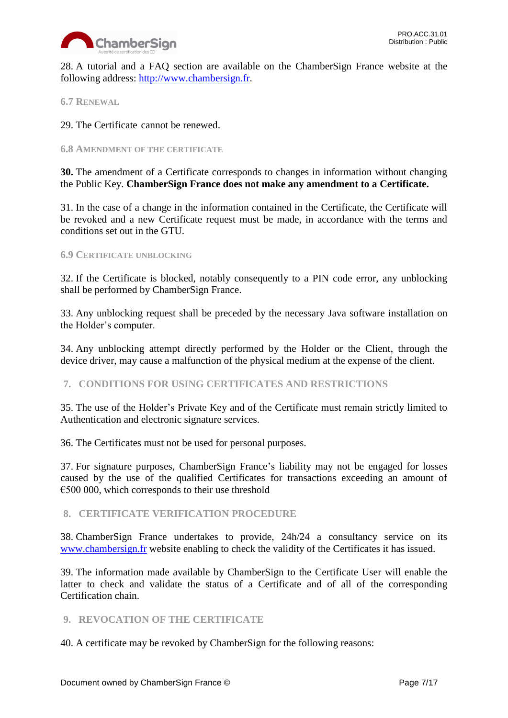

28. A tutorial and a FAQ section are available on the ChamberSign France website at the following address: [http://www.chambersign.fr.](http://www.chambersign.fr/)

<span id="page-6-0"></span>**6.7 RENEWAL**

29. The Certificate cannot be renewed.

#### <span id="page-6-1"></span>**6.8 AMENDMENT OF THE CERTIFICATE**

**30.** The amendment of a Certificate corresponds to changes in information without changing the Public Key. **ChamberSign France does not make any amendment to a Certificate.** 

31. In the case of a change in the information contained in the Certificate, the Certificate will be revoked and a new Certificate request must be made, in accordance with the terms and conditions set out in the GTU.

#### <span id="page-6-2"></span>**6.9 CERTIFICATE UNBLOCKING**

32. If the Certificate is blocked, notably consequently to a PIN code error, any unblocking shall be performed by ChamberSign France.

33. Any unblocking request shall be preceded by the necessary Java software installation on the Holder's computer.

34. Any unblocking attempt directly performed by the Holder or the Client, through the device driver, may cause a malfunction of the physical medium at the expense of the client.

## <span id="page-6-3"></span>**7. CONDITIONS FOR USING CERTIFICATES AND RESTRICTIONS**

35. The use of the Holder's Private Key and of the Certificate must remain strictly limited to Authentication and electronic signature services.

36. The Certificates must not be used for personal purposes.

37. For signature purposes, ChamberSign France's liability may not be engaged for losses caused by the use of the qualified Certificates for transactions exceeding an amount of  $\epsilon$ 500 000, which corresponds to their use threshold

## <span id="page-6-4"></span>**8. CERTIFICATE VERIFICATION PROCEDURE**

38. ChamberSign France undertakes to provide, 24h/24 a consultancy service on its [www.chambersign.fr](http://www.chambersign.fr/) website enabling to check the validity of the Certificates it has issued.

39. The information made available by ChamberSign to the Certificate User will enable the latter to check and validate the status of a Certificate and of all of the corresponding Certification chain.

## <span id="page-6-5"></span>**9. REVOCATION OF THE CERTIFICATE**

40. A certificate may be revoked by ChamberSign for the following reasons: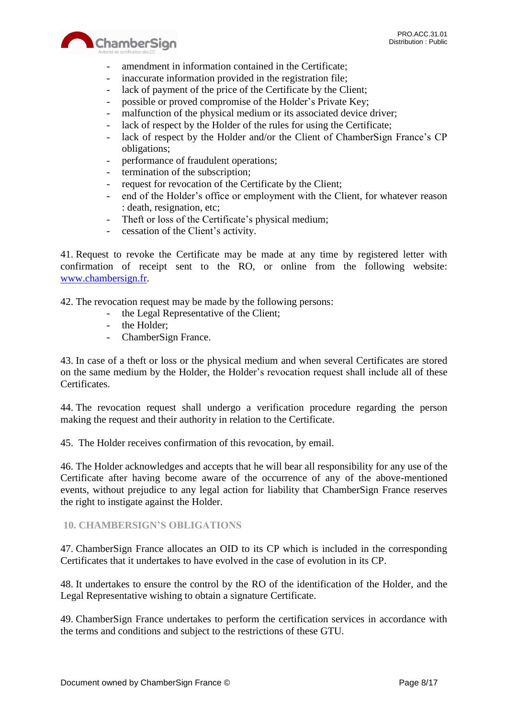



- amendment in information contained in the Certificate;
- inaccurate information provided in the registration file;
- lack of payment of the price of the Certificate by the Client;
- possible or proved compromise of the Holder's Private Key;
- malfunction of the physical medium or its associated device driver;
- lack of respect by the Holder of the rules for using the Certificate;
- lack of respect by the Holder and/or the Client of ChamberSign France's CP obligations;
- performance of fraudulent operations;
- termination of the subscription;
- request for revocation of the Certificate by the Client;
- end of the Holder's office or employment with the Client, for whatever reason : death, resignation, etc;
- Theft or loss of the Certificate's physical medium;
- cessation of the Client's activity.

41. Request to revoke the Certificate may be made at any time by registered letter with confirmation of receipt sent to the RO, or online from the following website: [www.chambersign.fr.](http://www.chambersign.fr/)

42. The revocation request may be made by the following persons:

- the Legal Representative of the Client;
- the Holder;
- ChamberSign France.

43. In case of a theft or loss or the physical medium and when several Certificates are stored on the same medium by the Holder, the Holder's revocation request shall include all of these Certificates.

44. The revocation request shall undergo a verification procedure regarding the person making the request and their authority in relation to the Certificate.

45. The Holder receives confirmation of this revocation, by email.

46. The Holder acknowledges and accepts that he will bear all responsibility for any use of the Certificate after having become aware of the occurrence of any of the above-mentioned events, without prejudice to any legal action for liability that ChamberSign France reserves the right to instigate against the Holder.

## <span id="page-7-0"></span>**10. CHAMBERSIGN'S OBLIGATIONS**

47. ChamberSign France allocates an OID to its CP which is included in the corresponding Certificates that it undertakes to have evolved in the case of evolution in its CP.

48. It undertakes to ensure the control by the RO of the identification of the Holder, and the Legal Representative wishing to obtain a signature Certificate.

49. ChamberSign France undertakes to perform the certification services in accordance with the terms and conditions and subject to the restrictions of these GTU.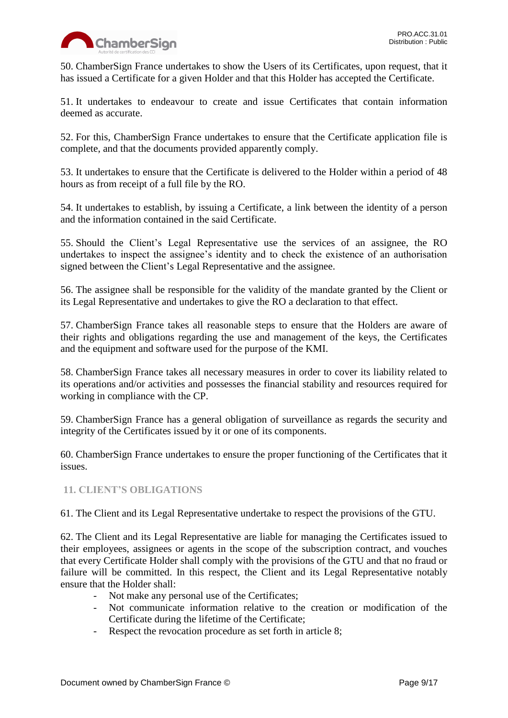

50. ChamberSign France undertakes to show the Users of its Certificates, upon request, that it has issued a Certificate for a given Holder and that this Holder has accepted the Certificate.

51. It undertakes to endeavour to create and issue Certificates that contain information deemed as accurate.

52. For this, ChamberSign France undertakes to ensure that the Certificate application file is complete, and that the documents provided apparently comply.

53. It undertakes to ensure that the Certificate is delivered to the Holder within a period of 48 hours as from receipt of a full file by the RO.

54. It undertakes to establish, by issuing a Certificate, a link between the identity of a person and the information contained in the said Certificate.

55. Should the Client's Legal Representative use the services of an assignee, the RO undertakes to inspect the assignee's identity and to check the existence of an authorisation signed between the Client's Legal Representative and the assignee.

56. The assignee shall be responsible for the validity of the mandate granted by the Client or its Legal Representative and undertakes to give the RO a declaration to that effect.

57. ChamberSign France takes all reasonable steps to ensure that the Holders are aware of their rights and obligations regarding the use and management of the keys, the Certificates and the equipment and software used for the purpose of the KMI.

58. ChamberSign France takes all necessary measures in order to cover its liability related to its operations and/or activities and possesses the financial stability and resources required for working in compliance with the CP.

59. ChamberSign France has a general obligation of surveillance as regards the security and integrity of the Certificates issued by it or one of its components.

60. ChamberSign France undertakes to ensure the proper functioning of the Certificates that it issues.

# <span id="page-8-0"></span>**11. CLIENT'S OBLIGATIONS**

61. The Client and its Legal Representative undertake to respect the provisions of the GTU.

62. The Client and its Legal Representative are liable for managing the Certificates issued to their employees, assignees or agents in the scope of the subscription contract, and vouches that every Certificate Holder shall comply with the provisions of the GTU and that no fraud or failure will be committed. In this respect, the Client and its Legal Representative notably ensure that the Holder shall:

- Not make any personal use of the Certificates;
- Not communicate information relative to the creation or modification of the Certificate during the lifetime of the Certificate;
- Respect the revocation procedure as set forth in article 8;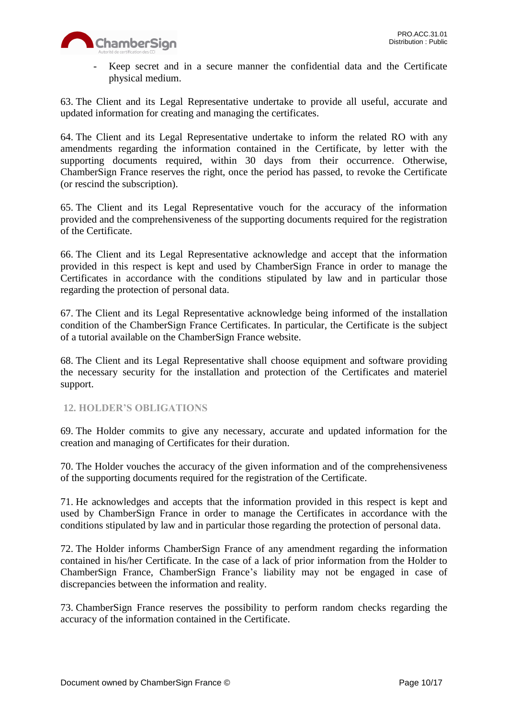

- Keep secret and in a secure manner the confidential data and the Certificate physical medium.

63. The Client and its Legal Representative undertake to provide all useful, accurate and updated information for creating and managing the certificates.

64. The Client and its Legal Representative undertake to inform the related RO with any amendments regarding the information contained in the Certificate, by letter with the supporting documents required, within 30 days from their occurrence. Otherwise, ChamberSign France reserves the right, once the period has passed, to revoke the Certificate (or rescind the subscription).

65. The Client and its Legal Representative vouch for the accuracy of the information provided and the comprehensiveness of the supporting documents required for the registration of the Certificate.

66. The Client and its Legal Representative acknowledge and accept that the information provided in this respect is kept and used by ChamberSign France in order to manage the Certificates in accordance with the conditions stipulated by law and in particular those regarding the protection of personal data.

67. The Client and its Legal Representative acknowledge being informed of the installation condition of the ChamberSign France Certificates. In particular, the Certificate is the subject of a tutorial available on the ChamberSign France website.

68. The Client and its Legal Representative shall choose equipment and software providing the necessary security for the installation and protection of the Certificates and materiel support.

## <span id="page-9-0"></span>**12. HOLDER'S OBLIGATIONS**

69. The Holder commits to give any necessary, accurate and updated information for the creation and managing of Certificates for their duration.

70. The Holder vouches the accuracy of the given information and of the comprehensiveness of the supporting documents required for the registration of the Certificate.

71. He acknowledges and accepts that the information provided in this respect is kept and used by ChamberSign France in order to manage the Certificates in accordance with the conditions stipulated by law and in particular those regarding the protection of personal data.

72. The Holder informs ChamberSign France of any amendment regarding the information contained in his/her Certificate. In the case of a lack of prior information from the Holder to ChamberSign France, ChamberSign France's liability may not be engaged in case of discrepancies between the information and reality.

73. ChamberSign France reserves the possibility to perform random checks regarding the accuracy of the information contained in the Certificate.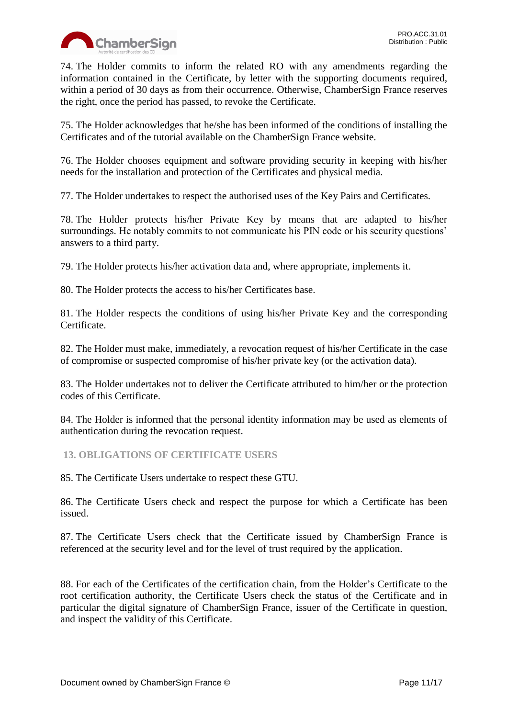

74. The Holder commits to inform the related RO with any amendments regarding the information contained in the Certificate, by letter with the supporting documents required, within a period of 30 days as from their occurrence. Otherwise, ChamberSign France reserves the right, once the period has passed, to revoke the Certificate.

75. The Holder acknowledges that he/she has been informed of the conditions of installing the Certificates and of the tutorial available on the ChamberSign France website.

76. The Holder chooses equipment and software providing security in keeping with his/her needs for the installation and protection of the Certificates and physical media.

77. The Holder undertakes to respect the authorised uses of the Key Pairs and Certificates.

78. The Holder protects his/her Private Key by means that are adapted to his/her surroundings. He notably commits to not communicate his PIN code or his security questions' answers to a third party.

79. The Holder protects his/her activation data and, where appropriate, implements it.

80. The Holder protects the access to his/her Certificates base.

81. The Holder respects the conditions of using his/her Private Key and the corresponding Certificate.

82. The Holder must make, immediately, a revocation request of his/her Certificate in the case of compromise or suspected compromise of his/her private key (or the activation data).

83. The Holder undertakes not to deliver the Certificate attributed to him/her or the protection codes of this Certificate.

84. The Holder is informed that the personal identity information may be used as elements of authentication during the revocation request.

<span id="page-10-0"></span>**13. OBLIGATIONS OF CERTIFICATE USERS**

85. The Certificate Users undertake to respect these GTU.

86. The Certificate Users check and respect the purpose for which a Certificate has been issued.

87. The Certificate Users check that the Certificate issued by ChamberSign France is referenced at the security level and for the level of trust required by the application.

88. For each of the Certificates of the certification chain, from the Holder's Certificate to the root certification authority, the Certificate Users check the status of the Certificate and in particular the digital signature of ChamberSign France, issuer of the Certificate in question, and inspect the validity of this Certificate.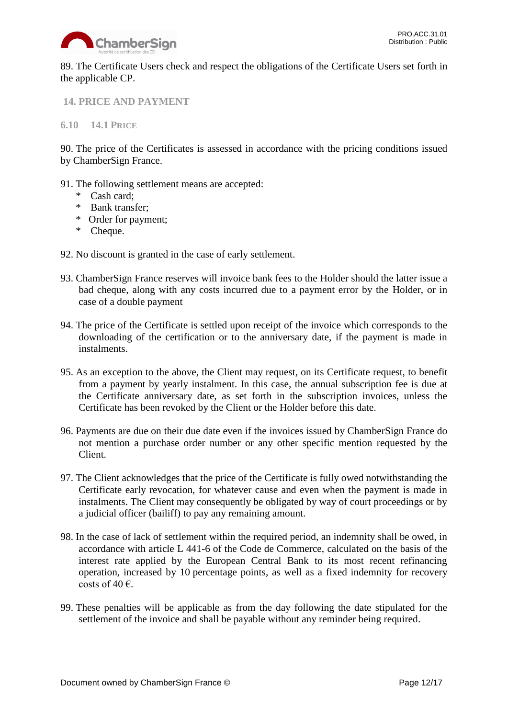

89. The Certificate Users check and respect the obligations of the Certificate Users set forth in the applicable CP.

<span id="page-11-0"></span>**14. PRICE AND PAYMENT**

<span id="page-11-1"></span>**6.10 14.1 PRICE**

90. The price of the Certificates is assessed in accordance with the pricing conditions issued by ChamberSign France.

- 91. The following settlement means are accepted:
	- \* Cash card;
	- \* Bank transfer;
	- \* Order for payment;
	- \* Cheque.
- 92. No discount is granted in the case of early settlement.
- 93. ChamberSign France reserves will invoice bank fees to the Holder should the latter issue a bad cheque, along with any costs incurred due to a payment error by the Holder, or in case of a double payment
- 94. The price of the Certificate is settled upon receipt of the invoice which corresponds to the downloading of the certification or to the anniversary date, if the payment is made in instalments.
- 95. As an exception to the above, the Client may request, on its Certificate request, to benefit from a payment by yearly instalment. In this case, the annual subscription fee is due at the Certificate anniversary date, as set forth in the subscription invoices, unless the Certificate has been revoked by the Client or the Holder before this date.
- 96. Payments are due on their due date even if the invoices issued by ChamberSign France do not mention a purchase order number or any other specific mention requested by the Client.
- 97. The Client acknowledges that the price of the Certificate is fully owed notwithstanding the Certificate early revocation, for whatever cause and even when the payment is made in instalments. The Client may consequently be obligated by way of court proceedings or by a judicial officer (bailiff) to pay any remaining amount.
- 98. In the case of lack of settlement within the required period, an indemnity shall be owed, in accordance with article L 441-6 of the Code de Commerce, calculated on the basis of the interest rate applied by the European Central Bank to its most recent refinancing operation, increased by 10 percentage points, as well as a fixed indemnity for recovery costs of 40 $\epsilon$ .
- 99. These penalties will be applicable as from the day following the date stipulated for the settlement of the invoice and shall be payable without any reminder being required.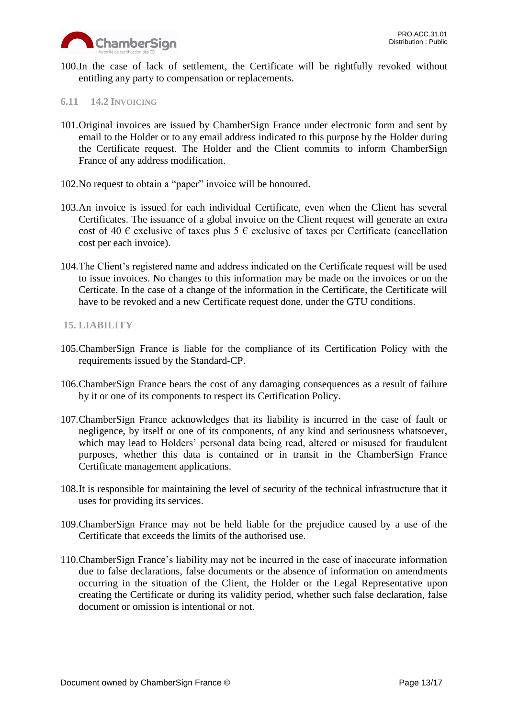

100.In the case of lack of settlement, the Certificate will be rightfully revoked without entitling any party to compensation or replacements.

#### <span id="page-12-0"></span>**6.11 14.2 INVOICING**

- 101.Original invoices are issued by ChamberSign France under electronic form and sent by email to the Holder or to any email address indicated to this purpose by the Holder during the Certificate request. The Holder and the Client commits to inform ChamberSign France of any address modification.
- 102.No request to obtain a "paper" invoice will be honoured.
- 103.An invoice is issued for each individual Certificate, even when the Client has several Certificates. The issuance of a global invoice on the Client request will generate an extra cost of 40  $\epsilon$  exclusive of taxes plus 5  $\epsilon$  exclusive of taxes per Certificate (cancellation cost per each invoice).
- 104.The Client's registered name and address indicated on the Certificate request will be used to issue invoices. No changes to this information may be made on the invoices or on the Certicate. In the case of a change of the information in the Certificate, the Certificate will have to be revoked and a new Certificate request done, under the GTU conditions.

#### <span id="page-12-1"></span>**15. LIABILITY**

- 105.ChamberSign France is liable for the compliance of its Certification Policy with the requirements issued by the Standard-CP.
- 106.ChamberSign France bears the cost of any damaging consequences as a result of failure by it or one of its components to respect its Certification Policy.
- 107.ChamberSign France acknowledges that its liability is incurred in the case of fault or negligence, by itself or one of its components, of any kind and seriousness whatsoever, which may lead to Holders' personal data being read, altered or misused for fraudulent purposes, whether this data is contained or in transit in the ChamberSign France Certificate management applications.
- 108.It is responsible for maintaining the level of security of the technical infrastructure that it uses for providing its services.
- 109.ChamberSign France may not be held liable for the prejudice caused by a use of the Certificate that exceeds the limits of the authorised use.
- 110.ChamberSign France's liability may not be incurred in the case of inaccurate information due to false declarations, false documents or the absence of information on amendments occurring in the situation of the Client, the Holder or the Legal Representative upon creating the Certificate or during its validity period, whether such false declaration, false document or omission is intentional or not.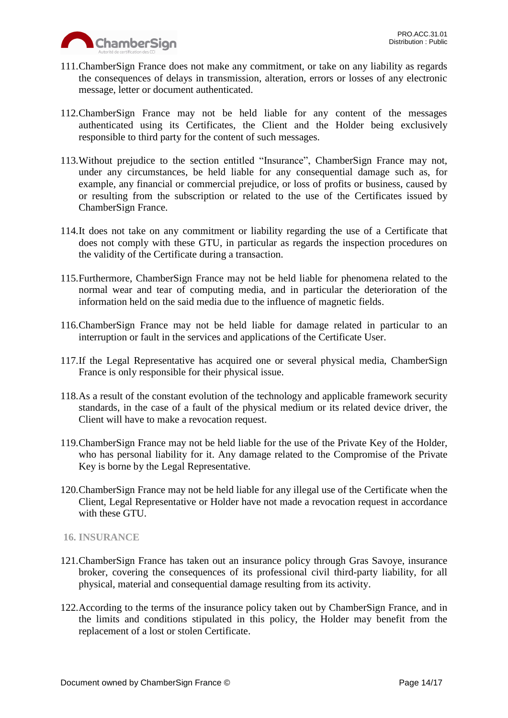

- 111.ChamberSign France does not make any commitment, or take on any liability as regards the consequences of delays in transmission, alteration, errors or losses of any electronic message, letter or document authenticated.
- 112.ChamberSign France may not be held liable for any content of the messages authenticated using its Certificates, the Client and the Holder being exclusively responsible to third party for the content of such messages.
- 113.Without prejudice to the section entitled "Insurance", ChamberSign France may not, under any circumstances, be held liable for any consequential damage such as, for example, any financial or commercial prejudice, or loss of profits or business, caused by or resulting from the subscription or related to the use of the Certificates issued by ChamberSign France.
- 114.It does not take on any commitment or liability regarding the use of a Certificate that does not comply with these GTU, in particular as regards the inspection procedures on the validity of the Certificate during a transaction.
- 115.Furthermore, ChamberSign France may not be held liable for phenomena related to the normal wear and tear of computing media, and in particular the deterioration of the information held on the said media due to the influence of magnetic fields.
- 116.ChamberSign France may not be held liable for damage related in particular to an interruption or fault in the services and applications of the Certificate User.
- 117.If the Legal Representative has acquired one or several physical media, ChamberSign France is only responsible for their physical issue.
- 118.As a result of the constant evolution of the technology and applicable framework security standards, in the case of a fault of the physical medium or its related device driver, the Client will have to make a revocation request.
- 119.ChamberSign France may not be held liable for the use of the Private Key of the Holder, who has personal liability for it. Any damage related to the Compromise of the Private Key is borne by the Legal Representative.
- 120.ChamberSign France may not be held liable for any illegal use of the Certificate when the Client, Legal Representative or Holder have not made a revocation request in accordance with these GTU.

# <span id="page-13-0"></span>**16. INSURANCE**

- 121.ChamberSign France has taken out an insurance policy through Gras Savoye, insurance broker, covering the consequences of its professional civil third-party liability, for all physical, material and consequential damage resulting from its activity.
- 122.According to the terms of the insurance policy taken out by ChamberSign France, and in the limits and conditions stipulated in this policy, the Holder may benefit from the replacement of a lost or stolen Certificate.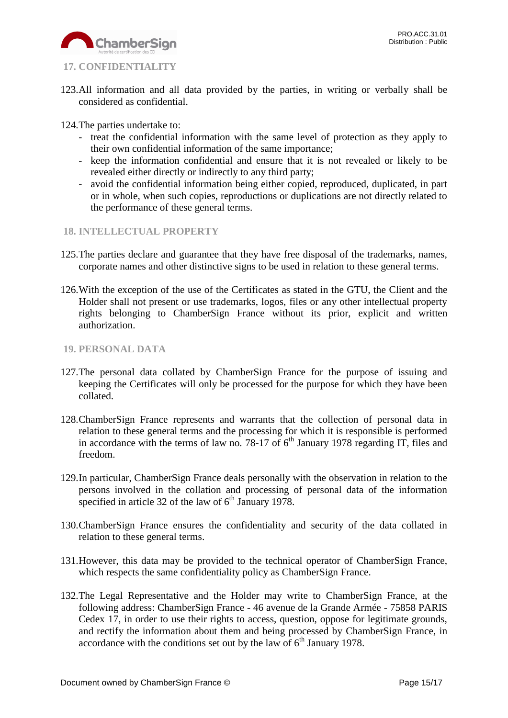

# <span id="page-14-0"></span>**17. CONFIDENTIALITY**

- 123.All information and all data provided by the parties, in writing or verbally shall be considered as confidential.
- 124.The parties undertake to:
	- treat the confidential information with the same level of protection as they apply to their own confidential information of the same importance;
	- keep the information confidential and ensure that it is not revealed or likely to be revealed either directly or indirectly to any third party;
	- avoid the confidential information being either copied, reproduced, duplicated, in part or in whole, when such copies, reproductions or duplications are not directly related to the performance of these general terms.
- <span id="page-14-1"></span>**18. INTELLECTUAL PROPERTY**
- 125.The parties declare and guarantee that they have free disposal of the trademarks, names, corporate names and other distinctive signs to be used in relation to these general terms.
- 126.With the exception of the use of the Certificates as stated in the GTU, the Client and the Holder shall not present or use trademarks, logos, files or any other intellectual property rights belonging to ChamberSign France without its prior, explicit and written authorization.
- <span id="page-14-2"></span>**19. PERSONAL DATA**
- 127.The personal data collated by ChamberSign France for the purpose of issuing and keeping the Certificates will only be processed for the purpose for which they have been collated.
- 128.ChamberSign France represents and warrants that the collection of personal data in relation to these general terms and the processing for which it is responsible is performed in accordance with the terms of law no. 78-17 of  $6<sup>th</sup>$  January 1978 regarding IT, files and freedom.
- 129.In particular, ChamberSign France deals personally with the observation in relation to the persons involved in the collation and processing of personal data of the information specified in article 32 of the law of  $6<sup>th</sup>$  January 1978.
- 130.ChamberSign France ensures the confidentiality and security of the data collated in relation to these general terms.
- 131.However, this data may be provided to the technical operator of ChamberSign France, which respects the same confidentiality policy as ChamberSign France.
- 132.The Legal Representative and the Holder may write to ChamberSign France, at the following address: ChamberSign France - 46 avenue de la Grande Armée - 75858 PARIS Cedex 17, in order to use their rights to access, question, oppose for legitimate grounds, and rectify the information about them and being processed by ChamberSign France, in accordance with the conditions set out by the law of  $6<sup>th</sup>$  January 1978.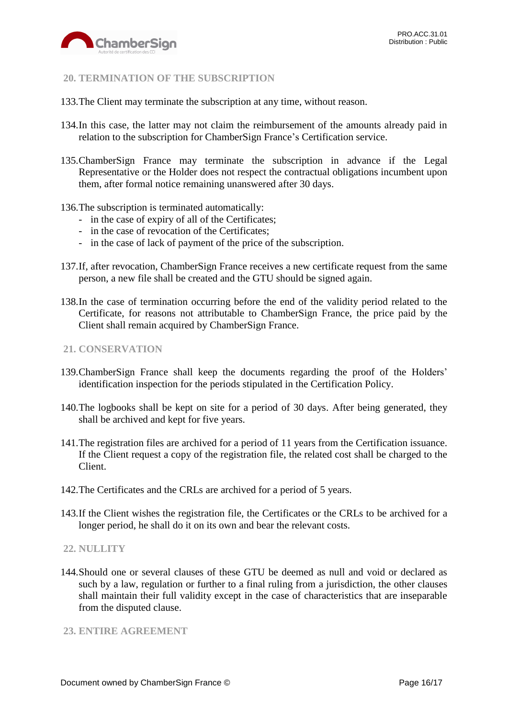

## <span id="page-15-0"></span>**20. TERMINATION OF THE SUBSCRIPTION**

- 133.The Client may terminate the subscription at any time, without reason.
- 134.In this case, the latter may not claim the reimbursement of the amounts already paid in relation to the subscription for ChamberSign France's Certification service.
- 135.ChamberSign France may terminate the subscription in advance if the Legal Representative or the Holder does not respect the contractual obligations incumbent upon them, after formal notice remaining unanswered after 30 days.
- 136.The subscription is terminated automatically:
	- in the case of expiry of all of the Certificates;
	- in the case of revocation of the Certificates;
	- in the case of lack of payment of the price of the subscription.
- 137.If, after revocation, ChamberSign France receives a new certificate request from the same person, a new file shall be created and the GTU should be signed again.
- 138.In the case of termination occurring before the end of the validity period related to the Certificate, for reasons not attributable to ChamberSign France, the price paid by the Client shall remain acquired by ChamberSign France.

#### <span id="page-15-1"></span>**21. CONSERVATION**

- 139.ChamberSign France shall keep the documents regarding the proof of the Holders' identification inspection for the periods stipulated in the Certification Policy.
- 140.The logbooks shall be kept on site for a period of 30 days. After being generated, they shall be archived and kept for five years.
- 141.The registration files are archived for a period of 11 years from the Certification issuance. If the Client request a copy of the registration file, the related cost shall be charged to the Client.
- 142.The Certificates and the CRLs are archived for a period of 5 years.
- 143.If the Client wishes the registration file, the Certificates or the CRLs to be archived for a longer period, he shall do it on its own and bear the relevant costs.

#### <span id="page-15-2"></span>**22. NULLITY**

144.Should one or several clauses of these GTU be deemed as null and void or declared as such by a law, regulation or further to a final ruling from a jurisdiction, the other clauses shall maintain their full validity except in the case of characteristics that are inseparable from the disputed clause.

#### <span id="page-15-3"></span>**23. ENTIRE AGREEMENT**